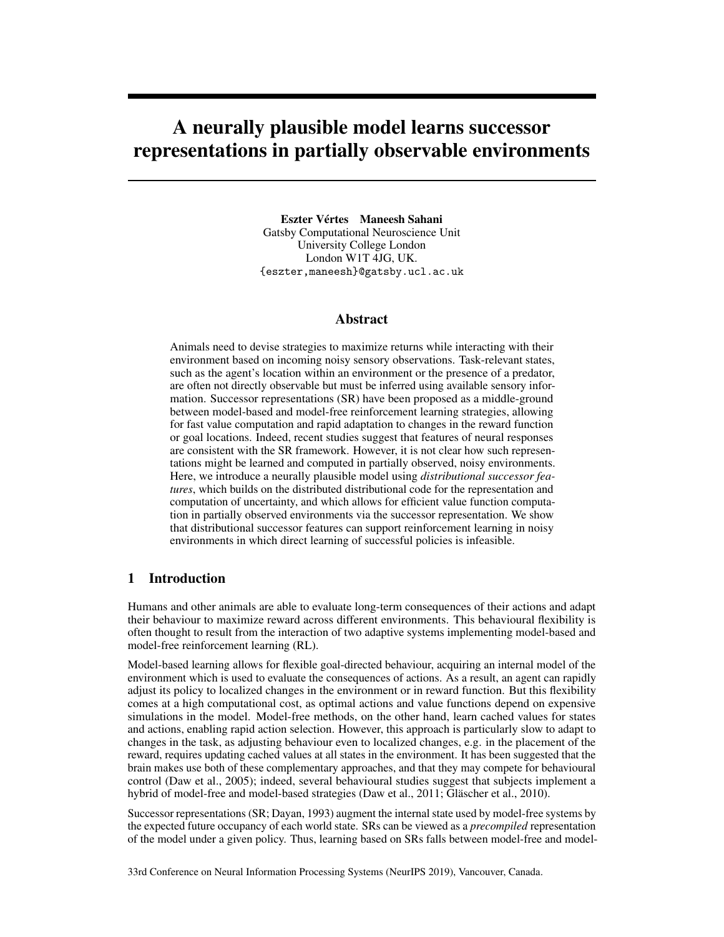# A neurally plausible model learns successor representations in partially observable environments

Eszter Vértes Maneesh Sahani Gatsby Computational Neuroscience Unit University College London London W1T 4JG, UK. {eszter,maneesh}@gatsby.ucl.ac.uk

## Abstract

Animals need to devise strategies to maximize returns while interacting with their environment based on incoming noisy sensory observations. Task-relevant states, such as the agent's location within an environment or the presence of a predator, are often not directly observable but must be inferred using available sensory information. Successor representations (SR) have been proposed as a middle-ground between model-based and model-free reinforcement learning strategies, allowing for fast value computation and rapid adaptation to changes in the reward function or goal locations. Indeed, recent studies suggest that features of neural responses are consistent with the SR framework. However, it is not clear how such representations might be learned and computed in partially observed, noisy environments. Here, we introduce a neurally plausible model using *distributional successor features*, which builds on the distributed distributional code for the representation and computation of uncertainty, and which allows for efficient value function computation in partially observed environments via the successor representation. We show that distributional successor features can support reinforcement learning in noisy environments in which direct learning of successful policies is infeasible.

# 1 Introduction

Humans and other animals are able to evaluate long-term consequences of their actions and adapt their behaviour to maximize reward across different environments. This behavioural flexibility is often thought to result from the interaction of two adaptive systems implementing model-based and model-free reinforcement learning (RL).

Model-based learning allows for flexible goal-directed behaviour, acquiring an internal model of the environment which is used to evaluate the consequences of actions. As a result, an agent can rapidly adjust its policy to localized changes in the environment or in reward function. But this flexibility comes at a high computational cost, as optimal actions and value functions depend on expensive simulations in the model. Model-free methods, on the other hand, learn cached values for states and actions, enabling rapid action selection. However, this approach is particularly slow to adapt to changes in the task, as adjusting behaviour even to localized changes, e.g. in the placement of the reward, requires updating cached values at all states in the environment. It has been suggested that the brain makes use both of these complementary approaches, and that they may compete for behavioural control (Daw et al., 2005); indeed, several behavioural studies suggest that subjects implement a hybrid of model-free and model-based strategies (Daw et al., 2011; Gläscher et al., 2010).

Successor representations (SR; Dayan, 1993) augment the internal state used by model-free systems by the expected future occupancy of each world state. SRs can be viewed as a *precompiled* representation of the model under a given policy. Thus, learning based on SRs falls between model-free and model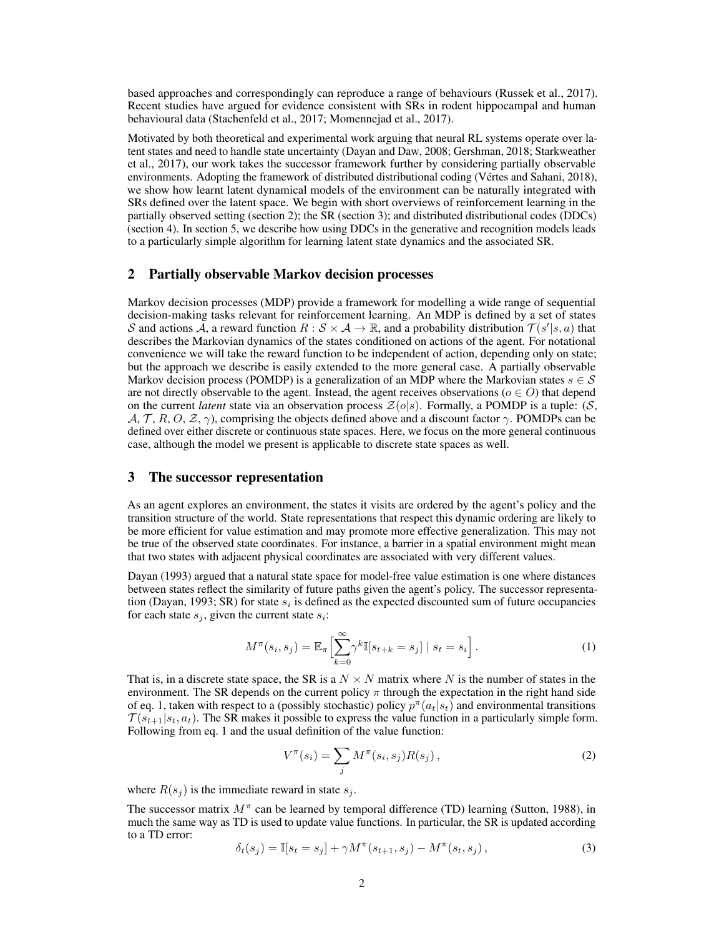based approaches and correspondingly can reproduce a range of behaviours (Russek et al., 2017). Recent studies have argued for evidence consistent with SRs in rodent hippocampal and human behavioural data (Stachenfeld et al., 2017; Momennejad et al., 2017).

Motivated by both theoretical and experimental work arguing that neural RL systems operate over latent states and need to handle state uncertainty (Dayan and Daw, 2008; Gershman, 2018; Starkweather et al., 2017), our work takes the successor framework further by considering partially observable environments. Adopting the framework of distributed distributional coding (Vértes and Sahani, 2018), we show how learnt latent dynamical models of the environment can be naturally integrated with SRs defined over the latent space. We begin with short overviews of reinforcement learning in the partially observed setting (section 2); the SR (section 3); and distributed distributional codes (DDCs) (section 4). In section 5, we describe how using DDCs in the generative and recognition models leads to a particularly simple algorithm for learning latent state dynamics and the associated SR.

## 2 Partially observable Markov decision processes

Markov decision processes (MDP) provide a framework for modelling a wide range of sequential decision-making tasks relevant for reinforcement learning. An MDP is defined by a set of states S and actions  $\overline{A}$ , a reward function  $R : S \times A \to \mathbb{R}$ , and a probability distribution  $\mathcal{T}(s'|s, a)$  that describes the Markovian dynamics of the states conditioned on actions of the agent. For notational convenience we will take the reward function to be independent of action, depending only on state; but the approach we describe is easily extended to the more general case. A partially observable Markov decision process (POMDP) is a generalization of an MDP where the Markovian states  $s \in \mathcal{S}$ are not directly observable to the agent. Instead, the agent receives observations ( $o \in O$ ) that depend on the current *latent* state via an observation process  $\mathcal{Z}(o|s)$ . Formally, a POMDP is a tuple: (S,  $\mathcal{A}, \mathcal{T}, R, O, \mathcal{Z}, \gamma$ , comprising the objects defined above and a discount factor  $\gamma$ . POMDPs can be defined over either discrete or continuous state spaces. Here, we focus on the more general continuous case, although the model we present is applicable to discrete state spaces as well.

## 3 The successor representation

As an agent explores an environment, the states it visits are ordered by the agent's policy and the transition structure of the world. State representations that respect this dynamic ordering are likely to be more efficient for value estimation and may promote more effective generalization. This may not be true of the observed state coordinates. For instance, a barrier in a spatial environment might mean that two states with adjacent physical coordinates are associated with very different values.

Dayan (1993) argued that a natural state space for model-free value estimation is one where distances between states reflect the similarity of future paths given the agent's policy. The successor representation (Dayan, 1993; SR) for state  $s_i$  is defined as the expected discounted sum of future occupancies for each state  $s_j$ , given the current state  $s_i$ :

$$
M^{\pi}(s_i, s_j) = \mathbb{E}_{\pi} \Big[ \sum_{k=0}^{\infty} \gamma^k \mathbb{I}[s_{t+k} = s_j] \mid s_t = s_i \Big]. \tag{1}
$$

That is, in a discrete state space, the SR is a  $N \times N$  matrix where N is the number of states in the environment. The SR depends on the current policy  $\pi$  through the expectation in the right hand side of eq. 1, taken with respect to a (possibly stochastic) policy  $p^{\pi}(a_t|s_t)$  and environmental transitions  $\mathcal{T}(s_{t+1}|s_t, a_t)$ . The SR makes it possible to express the value function in a particularly simple form. Following from eq. 1 and the usual definition of the value function:

$$
V^{\pi}(s_i) = \sum_j M^{\pi}(s_i, s_j) R(s_j), \qquad (2)
$$

where  $R(s_i)$  is the immediate reward in state  $s_i$ .

The successor matrix  $M^{\pi}$  can be learned by temporal difference (TD) learning (Sutton, 1988), in much the same way as TD is used to update value functions. In particular, the SR is updated according to a TD error:

$$
\delta_t(s_j) = \mathbb{I}[s_t = s_j] + \gamma M^{\pi}(s_{t+1}, s_j) - M^{\pi}(s_t, s_j),
$$
\n(3)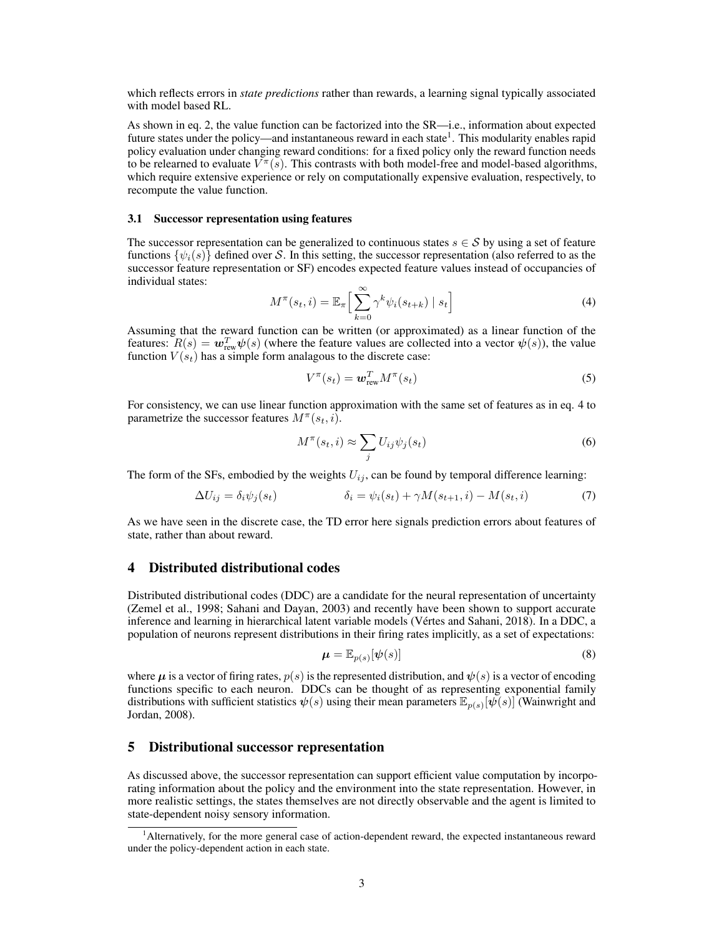which reflects errors in *state predictions* rather than rewards, a learning signal typically associated with model based RL.

As shown in eq. 2, the value function can be factorized into the SR—i.e., information about expected future states under the policy—and instantaneous reward in each state<sup>1</sup>. This modularity enables rapid policy evaluation under changing reward conditions: for a fixed policy only the reward function needs to be relearned to evaluate  $V^{\pi}(s)$ . This contrasts with both model-free and model-based algorithms, which require extensive experience or rely on computationally expensive evaluation, respectively, to recompute the value function.

#### 3.1 Successor representation using features

The successor representation can be generalized to continuous states  $s \in S$  by using a set of feature functions  $\{\psi_i(s)\}\$  defined over S. In this setting, the successor representation (also referred to as the successor feature representation or SF) encodes expected feature values instead of occupancies of individual states:

$$
M^{\pi}(s_t, i) = \mathbb{E}_{\pi} \left[ \sum_{k=0}^{\infty} \gamma^k \psi_i(s_{t+k}) \mid s_t \right]
$$
 (4)

Assuming that the reward function can be written (or approximated) as a linear function of the features:  $R(s) = \mathbf{w}_{\text{rew}}^T \psi(s)$  (where the feature values are collected into a vector  $\psi(s)$ ), the value function  $V(s_t)$  has a simple form analagous to the discrete case:

$$
V^{\pi}(s_t) = \boldsymbol{w}_{\text{rew}}^T M^{\pi}(s_t)
$$
\n<sup>(5)</sup>

For consistency, we can use linear function approximation with the same set of features as in eq. 4 to parametrize the successor features  $M^{\pi}(s_t, i)$ .

$$
M^{\pi}(s_t, i) \approx \sum_j U_{ij} \psi_j(s_t)
$$
\n(6)

The form of the SFs, embodied by the weights  $U_{ij}$ , can be found by temporal difference learning:

$$
\Delta U_{ij} = \delta_i \psi_j(s_t) \qquad \qquad \delta_i = \psi_i(s_t) + \gamma M(s_{t+1}, i) - M(s_t, i) \tag{7}
$$

As we have seen in the discrete case, the TD error here signals prediction errors about features of state, rather than about reward.

## 4 Distributed distributional codes

Distributed distributional codes (DDC) are a candidate for the neural representation of uncertainty (Zemel et al., 1998; Sahani and Dayan, 2003) and recently have been shown to support accurate inference and learning in hierarchical latent variable models (Vértes and Sahani, 2018). In a DDC, a population of neurons represent distributions in their firing rates implicitly, as a set of expectations:

$$
\boldsymbol{\mu} = \mathbb{E}_{p(s)}[\boldsymbol{\psi}(s)] \tag{8}
$$

where  $\mu$  is a vector of firing rates,  $p(s)$  is the represented distribution, and  $\psi(s)$  is a vector of encoding functions specific to each neuron. DDCs can be thought of as representing exponential family distributions with sufficient statistics  $\psi(s)$  using their mean parameters  $\mathbb{E}_{p(s)}[\psi(s)]$  (Wainwright and Jordan, 2008).

## 5 Distributional successor representation

As discussed above, the successor representation can support efficient value computation by incorporating information about the policy and the environment into the state representation. However, in more realistic settings, the states themselves are not directly observable and the agent is limited to state-dependent noisy sensory information.

<sup>1</sup>Alternatively, for the more general case of action-dependent reward, the expected instantaneous reward under the policy-dependent action in each state.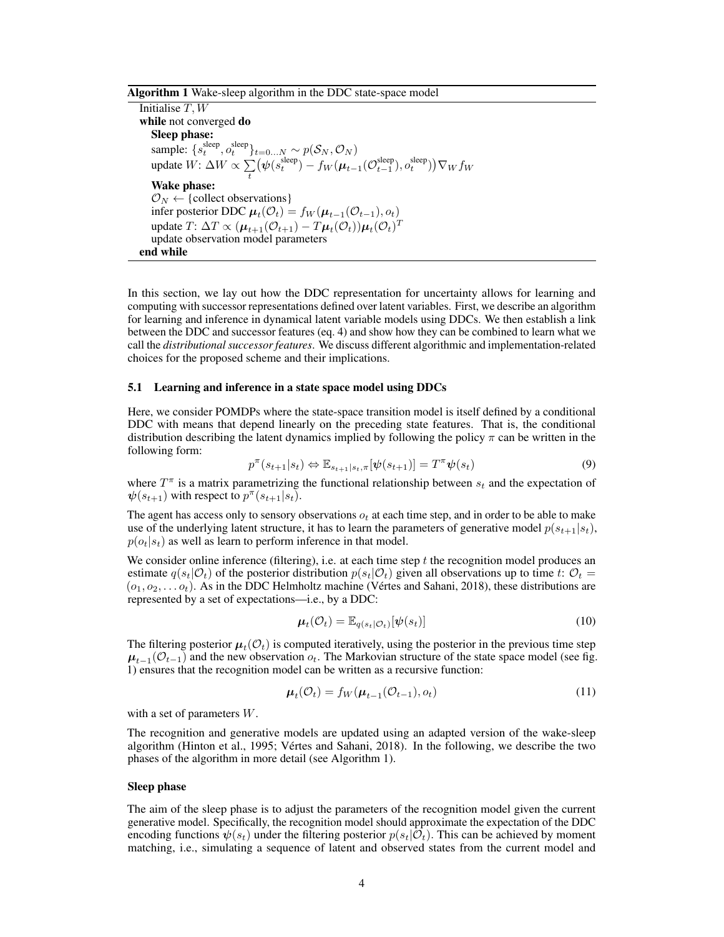#### Algorithm 1 Wake-sleep algorithm in the DDC state-space model

Initialise  $T, W$ while not converged do Sleep phase: sample:  $\{s_t^{\text{sleep}}, o_t^{\text{sleep}}\}_{t=0...N} \sim p(\mathcal{S}_N, \mathcal{O}_N)$ update  $W: \Delta W \propto \sum$ t  $(\psi(s_t^\text{sleep}) - f_W(\mu_{t-1}(\mathcal{O}_{t-1}^\text{sleep}), o_t^\text{sleep})) \nabla_W f_W$ Wake phase:  $\mathcal{O}_N \leftarrow \{collect\ observations\}$ infer posterior DDC  $\boldsymbol{\mu}_t(\mathcal{O}_t) = f_W(\boldsymbol{\mu}_{t-1}(\mathcal{O}_{t-1}), o_t)$ update  $T: \Delta T \propto (\boldsymbol{\mu}_{t+1}(\mathcal{O}_{t+1}) - T\boldsymbol{\mu}_t(\mathcal{O}_t))\boldsymbol{\mu}_t(\mathcal{O}_t)^T$ update observation model parameters end while

In this section, we lay out how the DDC representation for uncertainty allows for learning and computing with successor representations defined over latent variables. First, we describe an algorithm for learning and inference in dynamical latent variable models using DDCs. We then establish a link between the DDC and successor features (eq. 4) and show how they can be combined to learn what we call the *distributional successor features*. We discuss different algorithmic and implementation-related choices for the proposed scheme and their implications.

#### 5.1 Learning and inference in a state space model using DDCs

Here, we consider POMDPs where the state-space transition model is itself defined by a conditional DDC with means that depend linearly on the preceding state features. That is, the conditional distribution describing the latent dynamics implied by following the policy  $\pi$  can be written in the following form:

$$
p^{\pi}(s_{t+1}|s_t) \Leftrightarrow \mathbb{E}_{s_{t+1}|s_t,\pi}[\psi(s_{t+1})] = T^{\pi}\psi(s_t)
$$
\n
$$
(9)
$$

where  $T^{\pi}$  is a matrix parametrizing the functional relationship between  $s_t$  and the expectation of  $\psi(s_{t+1})$  with respect to  $p^{\pi}(s_{t+1}|s_t)$ .

The agent has access only to sensory observations  $o_t$  at each time step, and in order to be able to make use of the underlying latent structure, it has to learn the parameters of generative model  $p(s_{t+1}|s_t)$ ,  $p(o_t|s_t)$  as well as learn to perform inference in that model.

We consider online inference (filtering), i.e. at each time step  $t$  the recognition model produces an estimate  $q(s_t|\mathcal{O}_t)$  of the posterior distribution  $p(s_t|\mathcal{O}_t)$  given all observations up to time t:  $\mathcal{O}_t$  =  $(o_1, o_2, \ldots o_t)$ . As in the DDC Helmholtz machine (Vértes and Sahani, 2018), these distributions are represented by a set of expectations—i.e., by a DDC:

$$
\boldsymbol{\mu}_t(\mathcal{O}_t) = \mathbb{E}_{q(s_t|\mathcal{O}_t)}[\boldsymbol{\psi}(s_t)] \tag{10}
$$

The filtering posterior  $\mu_t(\mathcal{O}_t)$  is computed iteratively, using the posterior in the previous time step  $\mu_{t-1}(\mathcal{O}_{t-1})$  and the new observation  $o_t$ . The Markovian structure of the state space model (see fig. 1) ensures that the recognition model can be written as a recursive function:

$$
\boldsymbol{\mu}_t(\mathcal{O}_t) = f_W(\boldsymbol{\mu}_{t-1}(\mathcal{O}_{t-1}), o_t) \tag{11}
$$

with a set of parameters W.

The recognition and generative models are updated using an adapted version of the wake-sleep algorithm (Hinton et al., 1995; Vértes and Sahani, 2018). In the following, we describe the two phases of the algorithm in more detail (see Algorithm 1).

#### Sleep phase

The aim of the sleep phase is to adjust the parameters of the recognition model given the current generative model. Specifically, the recognition model should approximate the expectation of the DDC encoding functions  $\psi(s_t)$  under the filtering posterior  $p(s_t|\mathcal{O}_t)$ . This can be achieved by moment matching, i.e., simulating a sequence of latent and observed states from the current model and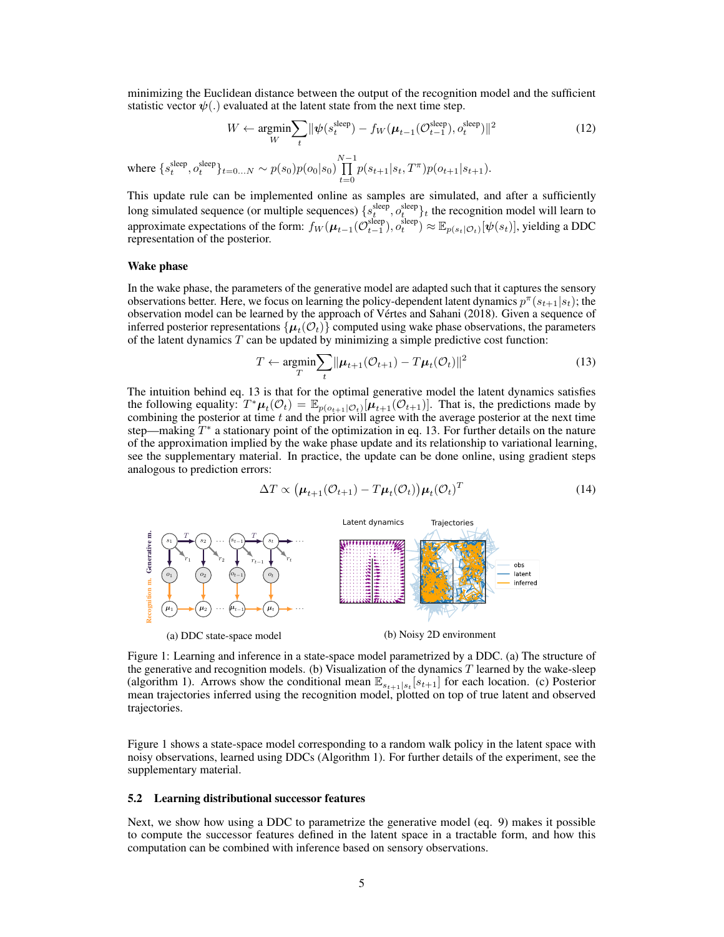minimizing the Euclidean distance between the output of the recognition model and the sufficient statistic vector  $\psi(.)$  evaluated at the latent state from the next time step.

$$
W \leftarrow \underset{W}{\text{argmin}} \sum_{t} \|\psi(s_t^{\text{sleep}}) - f_W(\boldsymbol{\mu}_{t-1}(\mathcal{O}_{t-1}^{\text{sleep}}), o_t^{\text{sleep}})\|^2
$$
(12)

where  $\{s_t^{\text{sleep}}, o_t^{\text{sleep}}\}_{t=0...N} \sim p(s_0)p(o_0|s_0)\prod^{N-1}$  $\prod_{t=0} p(s_{t+1}|s_t, T^{\pi}) p(o_{t+1}|s_{t+1}).$ 

This update rule can be implemented online as samples are simulated, and after a sufficiently long simulated sequence (or multiple sequences)  $\{s_t^{sleep}, o_t^{sleep}\}\$ t the recognition model will learn to approximate expectations of the form:  $f_W(\mu_{t-1}(\mathcal{O}_{t-1}^{\text{sleep}}), o_t^{\text{sleep}}) \approx \mathbb{E}_{p(s_t|\mathcal{O}_t)}[\psi(s_t)],$  yielding a DDC representation of the posterior.

#### Wake phase

In the wake phase, the parameters of the generative model are adapted such that it captures the sensory observations better. Here, we focus on learning the policy-dependent latent dynamics  $p^{\pi}(s_{t+1}|s_t)$ ; the observation model can be learned by the approach of Vértes and Sahani (2018). Given a sequence of inferred posterior representations  $\{\boldsymbol{\mu}_t(\mathcal{O}_t)\}$  computed using wake phase observations, the parameters of the latent dynamics  $T$  can be updated by minimizing a simple predictive cost function:

$$
T \leftarrow \underset{T}{\text{argmin}} \sum_{t} ||\boldsymbol{\mu}_{t+1}(\mathcal{O}_{t+1}) - T\boldsymbol{\mu}_t(\mathcal{O}_t)||^2
$$
\n(13)

The intuition behind eq. 13 is that for the optimal generative model the latent dynamics satisfies the following equality:  $T^* \mu_t(\mathcal{O}_t) = \mathbb{E}_{p(o_{t+1} | \mathcal{O}_t)}[\mu_{t+1}(\mathcal{O}_{t+1})]$ . That is, the predictions made by combining the posterior at time  $t$  and the prior will agree with the average posterior at the next time step—making  $T^*$  a stationary point of the optimization in eq. 13. For further details on the nature of the approximation implied by the wake phase update and its relationship to variational learning, see the supplementary material. In practice, the update can be done online, using gradient steps analogous to prediction errors:

$$
\Delta T \propto \left(\boldsymbol{\mu}_{t+1}(\mathcal{O}_{t+1}) - T\boldsymbol{\mu}_t(\mathcal{O}_t)\right)\boldsymbol{\mu}_t(\mathcal{O}_t)^T
$$
\n(14)



Figure 1: Learning and inference in a state-space model parametrized by a DDC. (a) The structure of the generative and recognition models. (b) Visualization of the dynamics  $T$  learned by the wake-sleep (algorithm 1). Arrows show the conditional mean  $\mathbb{E}_{s_{t+1}|s_t}[s_{t+1}]$  for each location. (c) Posterior mean trajectories inferred using the recognition model, plotted on top of true latent and observed trajectories.

Figure 1 shows a state-space model corresponding to a random walk policy in the latent space with noisy observations, learned using DDCs (Algorithm 1). For further details of the experiment, see the supplementary material.

#### 5.2 Learning distributional successor features

Next, we show how using a DDC to parametrize the generative model (eq. 9) makes it possible to compute the successor features defined in the latent space in a tractable form, and how this computation can be combined with inference based on sensory observations.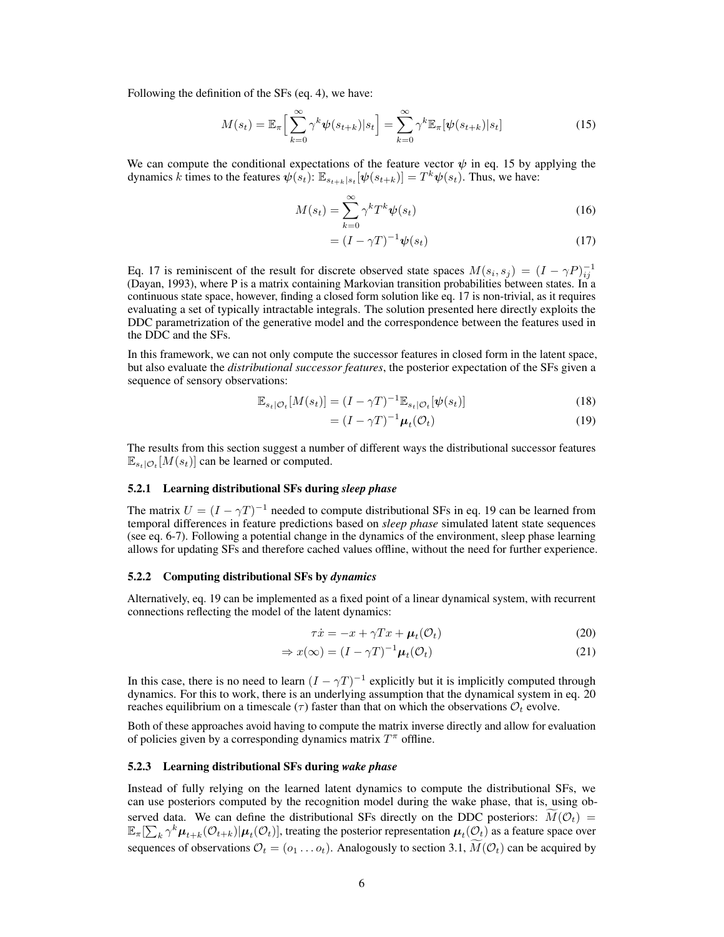Following the definition of the SFs (eq. 4), we have:

$$
M(s_t) = \mathbb{E}_{\pi} \Big[ \sum_{k=0}^{\infty} \gamma^k \psi(s_{t+k}) | s_t \Big] = \sum_{k=0}^{\infty} \gamma^k \mathbb{E}_{\pi} [\psi(s_{t+k}) | s_t]
$$
(15)

We can compute the conditional expectations of the feature vector  $\psi$  in eq. 15 by applying the dynamics k times to the features  $\psi(s_t)$ :  $\mathbb{E}_{s_{t+k}|s_t}[\psi(s_{t+k})] = T^k \psi(s_t)$ . Thus, we have:

$$
M(s_t) = \sum_{k=0}^{\infty} \gamma^k T^k \psi(s_t)
$$
\n(16)

$$
= (I - \gamma T)^{-1} \psi(s_t) \tag{17}
$$

Eq. 17 is reminiscent of the result for discrete observed state spaces  $M(s_i, s_j) = (I - \gamma P)^{-1}_{ij}$ (Dayan, 1993), where P is a matrix containing Markovian transition probabilities between states. In a continuous state space, however, finding a closed form solution like eq. 17 is non-trivial, as it requires evaluating a set of typically intractable integrals. The solution presented here directly exploits the DDC parametrization of the generative model and the correspondence between the features used in the DDC and the SFs.

In this framework, we can not only compute the successor features in closed form in the latent space, but also evaluate the *distributional successor features*, the posterior expectation of the SFs given a sequence of sensory observations:

$$
\mathbb{E}_{s_t|\mathcal{O}_t}[M(s_t)] = (I - \gamma T)^{-1} \mathbb{E}_{s_t|\mathcal{O}_t}[\psi(s_t)] \tag{18}
$$

$$
= (I - \gamma T)^{-1} \mu_t(\mathcal{O}_t)
$$
\n(19)

The results from this section suggest a number of different ways the distributional successor features  $\mathbb{E}_{s_t|\mathcal{O}_t}[M(s_t)]$  can be learned or computed.

## 5.2.1 Learning distributional SFs during *sleep phase*

The matrix  $U = (I - \gamma T)^{-1}$  needed to compute distributional SFs in eq. 19 can be learned from temporal differences in feature predictions based on *sleep phase* simulated latent state sequences (see eq. 6-7). Following a potential change in the dynamics of the environment, sleep phase learning allows for updating SFs and therefore cached values offline, without the need for further experience.

#### 5.2.2 Computing distributional SFs by *dynamics*

Alternatively, eq. 19 can be implemented as a fixed point of a linear dynamical system, with recurrent connections reflecting the model of the latent dynamics:

$$
\tau \dot{x} = -x + \gamma Tx + \mu_t(\mathcal{O}_t) \tag{20}
$$

$$
\Rightarrow x(\infty) = (I - \gamma T)^{-1} \mu_t(\mathcal{O}_t)
$$
\n(21)

In this case, there is no need to learn  $(I - \gamma T)^{-1}$  explicitly but it is implicitly computed through dynamics. For this to work, there is an underlying assumption that the dynamical system in eq. 20 reaches equilibrium on a timescale ( $\tau$ ) faster than that on which the observations  $\mathcal{O}_t$  evolve.

Both of these approaches avoid having to compute the matrix inverse directly and allow for evaluation of policies given by a corresponding dynamics matrix  $T^{\pi}$  offline.

#### 5.2.3 Learning distributional SFs during *wake phase*

Instead of fully relying on the learned latent dynamics to compute the distributional SFs, we can use posteriors computed by the recognition model during the wake phase, that is, using observed data. We can define the distributional SFs directly on the DDC posteriors:  $M(\mathcal{O}_t)$  =  $\mathbb{E}_{\pi}[\sum_{k} \gamma^{k} \mu_{t+k}(\mathcal{O}_{t+k}) | \mu_t(\mathcal{O}_t)]$ , treating the posterior representation  $\mu_t(\mathcal{O}_t)$  as a feature space over sequences of observations  $\mathcal{O}_t = (o_1 \dots o_t)$ . Analogously to section 3.1,  $\widetilde{M}(\mathcal{O}_t)$  can be acquired by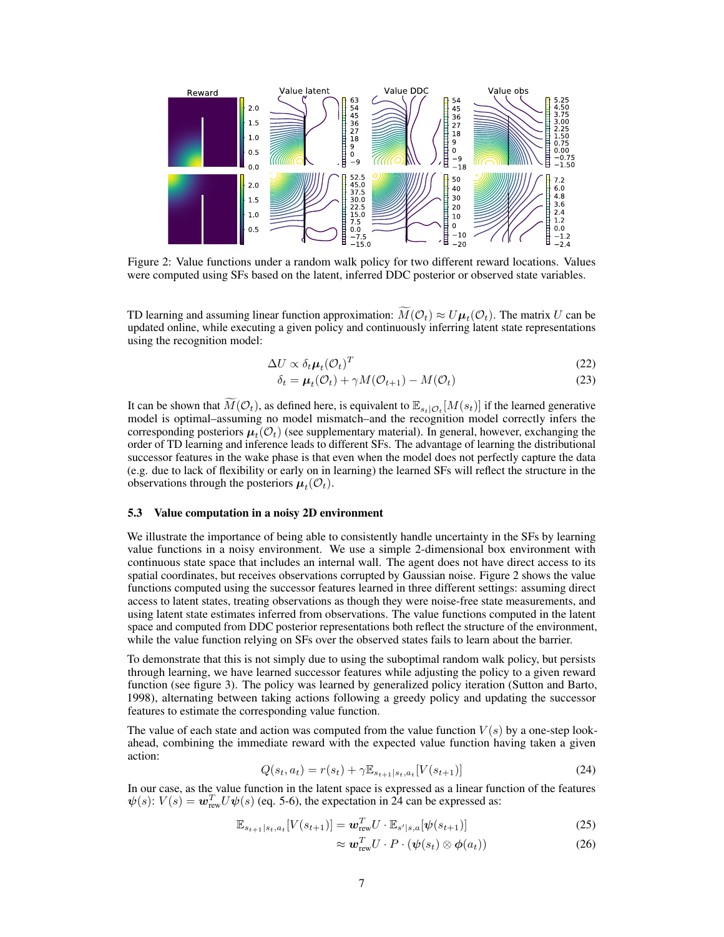

Figure 2: Value functions under a random walk policy for two different reward locations. Values were computed using SFs based on the latent, inferred DDC posterior or observed state variables.

TD learning and assuming linear function approximation:  $M(\mathcal{O}_t) \approx U \mu_t(\mathcal{O}_t)$ . The matrix U can be updated online, while executing a given policy and continuously inferring latent state representations using the recognition model:

$$
\Delta U \propto \delta_t \mu_t (\mathcal{O}_t)^T \tag{22}
$$

$$
\delta_t = \boldsymbol{\mu}_t(\mathcal{O}_t) + \gamma M(\mathcal{O}_{t+1}) - M(\mathcal{O}_t)
$$
\n(23)

It can be shown that  $\widetilde{M}(\mathcal{O}_t)$ , as defined here, is equivalent to  $\mathbb{E}_{s_t|\mathcal{O}_t}[M(s_t)]$  if the learned generative model is optimal–assuming no model mismatch–and the recognition model correctly infers the corresponding posteriors  $\mu_t(\mathcal{O}_t)$  (see supplementary material). In general, however, exchanging the order of TD learning and inference leads to different SFs. The advantage of learning the distributional successor features in the wake phase is that even when the model does not perfectly capture the data (e.g. due to lack of flexibility or early on in learning) the learned SFs will reflect the structure in the observations through the posteriors  $\boldsymbol{\mu}_t(\mathcal{O}_t)$ .

## 5.3 Value computation in a noisy 2D environment

We illustrate the importance of being able to consistently handle uncertainty in the SFs by learning value functions in a noisy environment. We use a simple 2-dimensional box environment with continuous state space that includes an internal wall. The agent does not have direct access to its spatial coordinates, but receives observations corrupted by Gaussian noise. Figure 2 shows the value functions computed using the successor features learned in three different settings: assuming direct access to latent states, treating observations as though they were noise-free state measurements, and using latent state estimates inferred from observations. The value functions computed in the latent space and computed from DDC posterior representations both reflect the structure of the environment, while the value function relying on SFs over the observed states fails to learn about the barrier.

To demonstrate that this is not simply due to using the suboptimal random walk policy, but persists through learning, we have learned successor features while adjusting the policy to a given reward function (see figure 3). The policy was learned by generalized policy iteration (Sutton and Barto, 1998), alternating between taking actions following a greedy policy and updating the successor features to estimate the corresponding value function.

The value of each state and action was computed from the value function  $V(s)$  by a one-step lookahead, combining the immediate reward with the expected value function having taken a given action:

$$
Q(s_t, a_t) = r(s_t) + \gamma \mathbb{E}_{s_{t+1}|s_t, a_t}[V(s_{t+1})]
$$
\n(24)

In our case, as the value function in the latent space is expressed as a linear function of the features  $\psi(s)$ :  $V(s) = \mathbf{w}_{\text{rew}}^T U \psi(s)$  (eq. 5-6), the expectation in 24 can be expressed as:

$$
\mathbb{E}_{s_{t+1}|s_t, a_t}[V(s_{t+1})] = \boldsymbol{w}_{\text{rew}}^T U \cdot \mathbb{E}_{s'|s, a}[\boldsymbol{\psi}(s_{t+1})] \tag{25}
$$

$$
\approx \boldsymbol{w}_{\text{rew}}^T U \cdot P \cdot (\boldsymbol{\psi}(s_t) \otimes \boldsymbol{\phi}(a_t)) \tag{26}
$$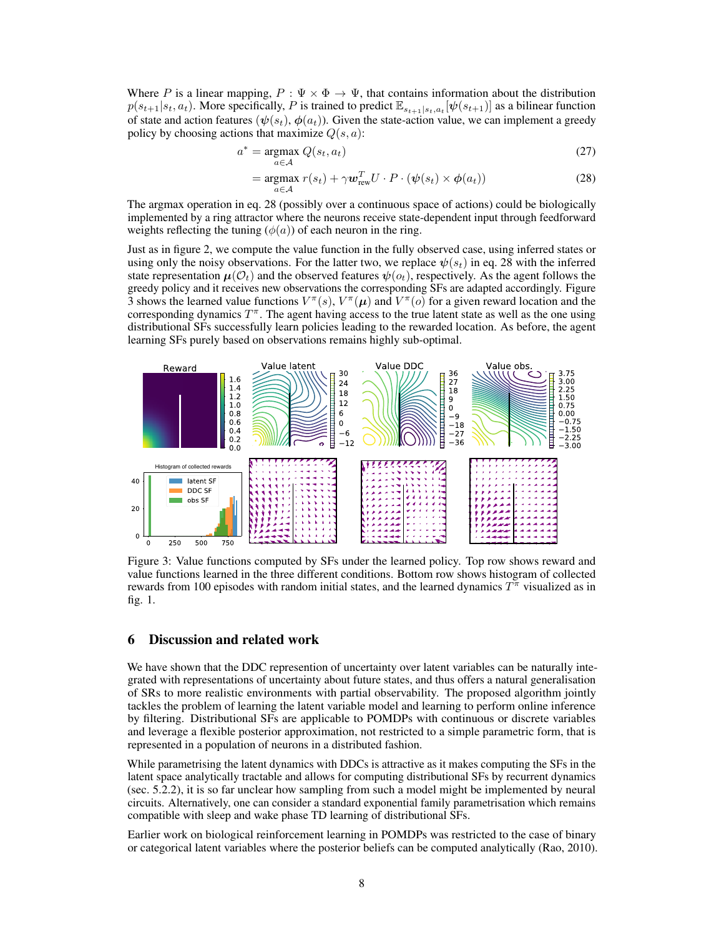Where P is a linear mapping,  $P : \Psi \times \Phi \to \Psi$ , that contains information about the distribution  $p(s_{t+1}|s_t, a_t)$ . More specifically, P is trained to predict  $\mathbb{E}_{s_{t+1}|s_t, a_t}[\psi(s_{t+1})]$  as a bilinear function of state and action features  $(\psi(s_t), \phi(a_t))$ . Given the state-action value, we can implement a greedy policy by choosing actions that maximize  $Q(s, a)$ :

$$
a^* = \underset{a \in \mathcal{A}}{\operatorname{argmax}} \ Q(s_t, a_t) \tag{27}
$$

$$
= \underset{a \in \mathcal{A}}{\operatorname{argmax}} \ r(s_t) + \gamma \boldsymbol{w}_{\text{rew}}^T U \cdot P \cdot (\boldsymbol{\psi}(s_t) \times \boldsymbol{\phi}(a_t)) \tag{28}
$$

The argmax operation in eq. 28 (possibly over a continuous space of actions) could be biologically implemented by a ring attractor where the neurons receive state-dependent input through feedforward weights reflecting the tuning  $(\phi(a))$  of each neuron in the ring.

Just as in figure 2, we compute the value function in the fully observed case, using inferred states or using only the noisy observations. For the latter two, we replace  $\psi(s_t)$  in eq. 28 with the inferred state representation  $\mu(\mathcal{O}_t)$  and the observed features  $\psi(o_t)$ , respectively. As the agent follows the greedy policy and it receives new observations the corresponding SFs are adapted accordingly. Figure 3 shows the learned value functions  $V^{\pi}(s)$ ,  $V^{\pi}(\mu)$  and  $V^{\pi}(o)$  for a given reward location and the corresponding dynamics  $T^{\pi}$ . The agent having access to the true latent state as well as the one using distributional SFs successfully learn policies leading to the rewarded location. As before, the agent learning SFs purely based on observations remains highly sub-optimal.



Figure 3: Value functions computed by SFs under the learned policy. Top row shows reward and value functions learned in the three different conditions. Bottom row shows histogram of collected rewards from 100 episodes with random initial states, and the learned dynamics  $T^{\pi}$  visualized as in fig. 1.

## 6 Discussion and related work

We have shown that the DDC represention of uncertainty over latent variables can be naturally integrated with representations of uncertainty about future states, and thus offers a natural generalisation of SRs to more realistic environments with partial observability. The proposed algorithm jointly tackles the problem of learning the latent variable model and learning to perform online inference by filtering. Distributional SFs are applicable to POMDPs with continuous or discrete variables and leverage a flexible posterior approximation, not restricted to a simple parametric form, that is represented in a population of neurons in a distributed fashion.

While parametrising the latent dynamics with DDCs is attractive as it makes computing the SFs in the latent space analytically tractable and allows for computing distributional SFs by recurrent dynamics (sec. 5.2.2), it is so far unclear how sampling from such a model might be implemented by neural circuits. Alternatively, one can consider a standard exponential family parametrisation which remains compatible with sleep and wake phase TD learning of distributional SFs.

Earlier work on biological reinforcement learning in POMDPs was restricted to the case of binary or categorical latent variables where the posterior beliefs can be computed analytically (Rao, 2010).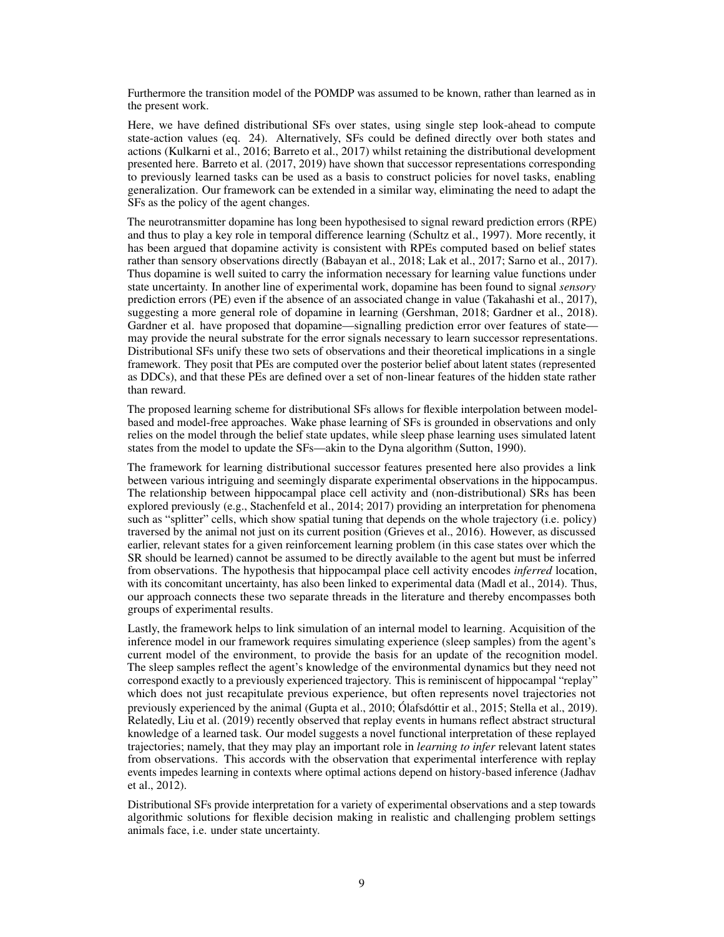Furthermore the transition model of the POMDP was assumed to be known, rather than learned as in the present work.

Here, we have defined distributional SFs over states, using single step look-ahead to compute state-action values (eq. 24). Alternatively, SFs could be defined directly over both states and actions (Kulkarni et al., 2016; Barreto et al., 2017) whilst retaining the distributional development presented here. Barreto et al. (2017, 2019) have shown that successor representations corresponding to previously learned tasks can be used as a basis to construct policies for novel tasks, enabling generalization. Our framework can be extended in a similar way, eliminating the need to adapt the SFs as the policy of the agent changes.

The neurotransmitter dopamine has long been hypothesised to signal reward prediction errors (RPE) and thus to play a key role in temporal difference learning (Schultz et al., 1997). More recently, it has been argued that dopamine activity is consistent with RPEs computed based on belief states rather than sensory observations directly (Babayan et al., 2018; Lak et al., 2017; Sarno et al., 2017). Thus dopamine is well suited to carry the information necessary for learning value functions under state uncertainty. In another line of experimental work, dopamine has been found to signal *sensory* prediction errors (PE) even if the absence of an associated change in value (Takahashi et al., 2017), suggesting a more general role of dopamine in learning (Gershman, 2018; Gardner et al., 2018). Gardner et al. have proposed that dopamine—signalling prediction error over features of state may provide the neural substrate for the error signals necessary to learn successor representations. Distributional SFs unify these two sets of observations and their theoretical implications in a single framework. They posit that PEs are computed over the posterior belief about latent states (represented as DDCs), and that these PEs are defined over a set of non-linear features of the hidden state rather than reward.

The proposed learning scheme for distributional SFs allows for flexible interpolation between modelbased and model-free approaches. Wake phase learning of SFs is grounded in observations and only relies on the model through the belief state updates, while sleep phase learning uses simulated latent states from the model to update the SFs—akin to the Dyna algorithm (Sutton, 1990).

The framework for learning distributional successor features presented here also provides a link between various intriguing and seemingly disparate experimental observations in the hippocampus. The relationship between hippocampal place cell activity and (non-distributional) SRs has been explored previously (e.g., Stachenfeld et al., 2014; 2017) providing an interpretation for phenomena such as "splitter" cells, which show spatial tuning that depends on the whole trajectory (i.e. policy) traversed by the animal not just on its current position (Grieves et al., 2016). However, as discussed earlier, relevant states for a given reinforcement learning problem (in this case states over which the SR should be learned) cannot be assumed to be directly available to the agent but must be inferred from observations. The hypothesis that hippocampal place cell activity encodes *inferred* location, with its concomitant uncertainty, has also been linked to experimental data (Madl et al., 2014). Thus, our approach connects these two separate threads in the literature and thereby encompasses both groups of experimental results.

Lastly, the framework helps to link simulation of an internal model to learning. Acquisition of the inference model in our framework requires simulating experience (sleep samples) from the agent's current model of the environment, to provide the basis for an update of the recognition model. The sleep samples reflect the agent's knowledge of the environmental dynamics but they need not correspond exactly to a previously experienced trajectory. This is reminiscent of hippocampal "replay" which does not just recapitulate previous experience, but often represents novel trajectories not previously experienced by the animal (Gupta et al., 2010; Ólafsdóttir et al., 2015; Stella et al., 2019). Relatedly, Liu et al. (2019) recently observed that replay events in humans reflect abstract structural knowledge of a learned task. Our model suggests a novel functional interpretation of these replayed trajectories; namely, that they may play an important role in *learning to infer* relevant latent states from observations. This accords with the observation that experimental interference with replay events impedes learning in contexts where optimal actions depend on history-based inference (Jadhav et al., 2012).

Distributional SFs provide interpretation for a variety of experimental observations and a step towards algorithmic solutions for flexible decision making in realistic and challenging problem settings animals face, i.e. under state uncertainty.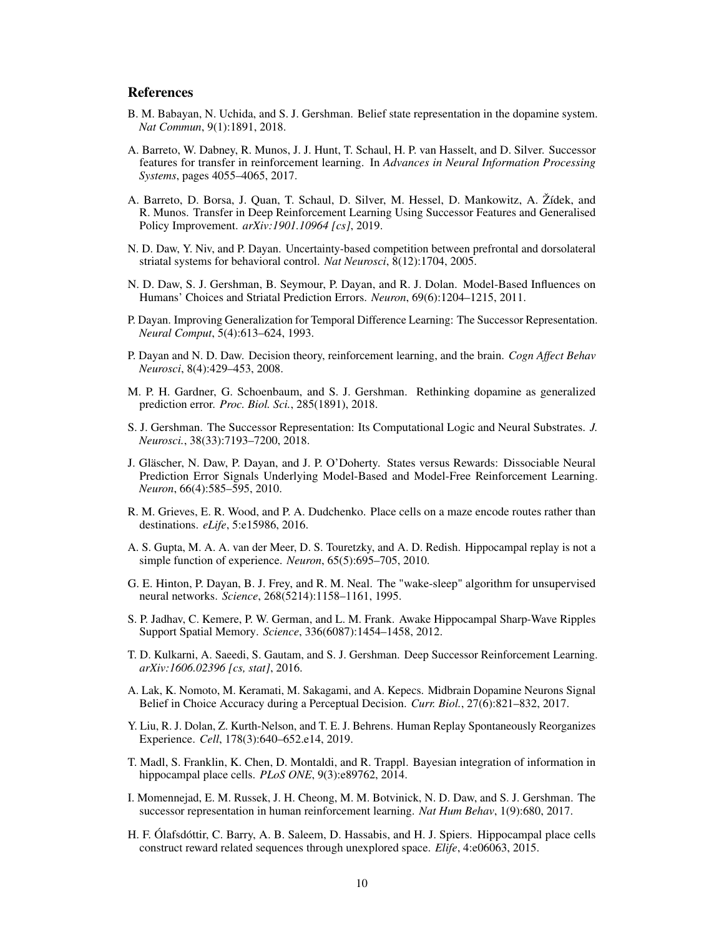## References

- B. M. Babayan, N. Uchida, and S. J. Gershman. Belief state representation in the dopamine system. *Nat Commun*, 9(1):1891, 2018.
- A. Barreto, W. Dabney, R. Munos, J. J. Hunt, T. Schaul, H. P. van Hasselt, and D. Silver. Successor features for transfer in reinforcement learning. In *Advances in Neural Information Processing Systems*, pages 4055–4065, 2017.
- A. Barreto, D. Borsa, J. Quan, T. Schaul, D. Silver, M. Hessel, D. Mankowitz, A. Žídek, and R. Munos. Transfer in Deep Reinforcement Learning Using Successor Features and Generalised Policy Improvement. *arXiv:1901.10964 [cs]*, 2019.
- N. D. Daw, Y. Niv, and P. Dayan. Uncertainty-based competition between prefrontal and dorsolateral striatal systems for behavioral control. *Nat Neurosci*, 8(12):1704, 2005.
- N. D. Daw, S. J. Gershman, B. Seymour, P. Dayan, and R. J. Dolan. Model-Based Influences on Humans' Choices and Striatal Prediction Errors. *Neuron*, 69(6):1204–1215, 2011.
- P. Dayan. Improving Generalization for Temporal Difference Learning: The Successor Representation. *Neural Comput*, 5(4):613–624, 1993.
- P. Dayan and N. D. Daw. Decision theory, reinforcement learning, and the brain. *Cogn Affect Behav Neurosci*, 8(4):429–453, 2008.
- M. P. H. Gardner, G. Schoenbaum, and S. J. Gershman. Rethinking dopamine as generalized prediction error. *Proc. Biol. Sci.*, 285(1891), 2018.
- S. J. Gershman. The Successor Representation: Its Computational Logic and Neural Substrates. *J. Neurosci.*, 38(33):7193–7200, 2018.
- J. Gläscher, N. Daw, P. Dayan, and J. P. O'Doherty. States versus Rewards: Dissociable Neural Prediction Error Signals Underlying Model-Based and Model-Free Reinforcement Learning. *Neuron*, 66(4):585–595, 2010.
- R. M. Grieves, E. R. Wood, and P. A. Dudchenko. Place cells on a maze encode routes rather than destinations. *eLife*, 5:e15986, 2016.
- A. S. Gupta, M. A. A. van der Meer, D. S. Touretzky, and A. D. Redish. Hippocampal replay is not a simple function of experience. *Neuron*, 65(5):695–705, 2010.
- G. E. Hinton, P. Dayan, B. J. Frey, and R. M. Neal. The "wake-sleep" algorithm for unsupervised neural networks. *Science*, 268(5214):1158–1161, 1995.
- S. P. Jadhav, C. Kemere, P. W. German, and L. M. Frank. Awake Hippocampal Sharp-Wave Ripples Support Spatial Memory. *Science*, 336(6087):1454–1458, 2012.
- T. D. Kulkarni, A. Saeedi, S. Gautam, and S. J. Gershman. Deep Successor Reinforcement Learning. *arXiv:1606.02396 [cs, stat]*, 2016.
- A. Lak, K. Nomoto, M. Keramati, M. Sakagami, and A. Kepecs. Midbrain Dopamine Neurons Signal Belief in Choice Accuracy during a Perceptual Decision. *Curr. Biol.*, 27(6):821–832, 2017.
- Y. Liu, R. J. Dolan, Z. Kurth-Nelson, and T. E. J. Behrens. Human Replay Spontaneously Reorganizes Experience. *Cell*, 178(3):640–652.e14, 2019.
- T. Madl, S. Franklin, K. Chen, D. Montaldi, and R. Trappl. Bayesian integration of information in hippocampal place cells. *PLoS ONE*, 9(3):e89762, 2014.
- I. Momennejad, E. M. Russek, J. H. Cheong, M. M. Botvinick, N. D. Daw, and S. J. Gershman. The successor representation in human reinforcement learning. *Nat Hum Behav*, 1(9):680, 2017.
- H. F. Ólafsdóttir, C. Barry, A. B. Saleem, D. Hassabis, and H. J. Spiers. Hippocampal place cells construct reward related sequences through unexplored space. *Elife*, 4:e06063, 2015.